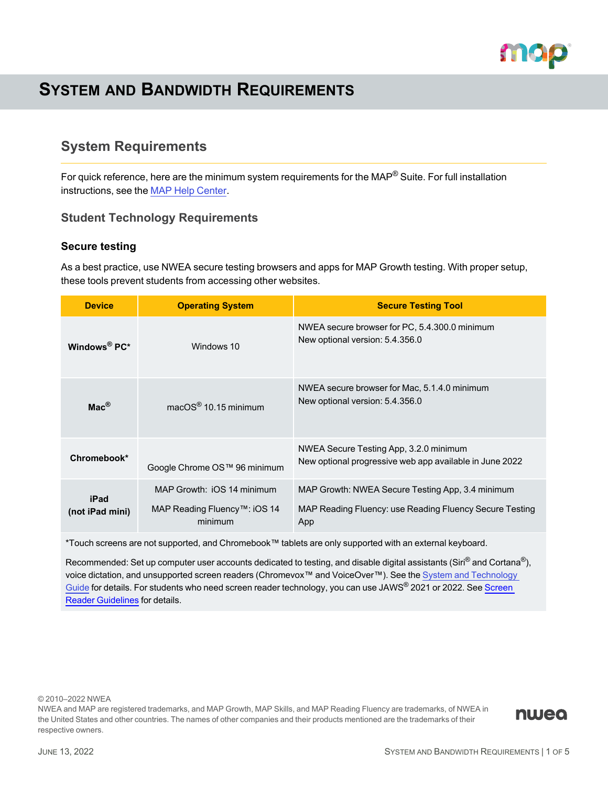

# **SYSTEM AND BANDWIDTH REQUIREMENTS**

## **System Requirements**

For quick reference, here are the minimum system requirements for the MAP® Suite. For full installation instructions, see the MAP Help [Center](https://teach.mapnwea.org/impl/maphelp/ApplicationHelp.htm#cshid=696).

## <span id="page-0-0"></span>**Student Technology Requirements**

### **Secure testing**

As a best practice, use NWEA secure testing browsers and apps for MAP Growth testing. With proper setup, these tools prevent students from accessing other websites.

| <b>Device</b>            | <b>Operating System</b>                                               | <b>Secure Testing Tool</b>                                                                                         |
|--------------------------|-----------------------------------------------------------------------|--------------------------------------------------------------------------------------------------------------------|
| Windows <sup>®</sup> PC* | Windows 10                                                            | NWEA secure browser for PC, 5.4.300.0 minimum<br>New optional version: 5.4.356.0                                   |
| $\mathsf{Mac}^\circledR$ | $macOS^{\circledR}$ 10.15 minimum                                     | NWEA secure browser for Mac, 5.1.4.0 minimum<br>New optional version: 5.4.356.0                                    |
| Chromebook*              | Google Chrome OS™ 96 minimum                                          | NWEA Secure Testing App, 3.2.0 minimum<br>New optional progressive web app available in June 2022                  |
| iPad<br>(not iPad mini)  | MAP Growth: iOS 14 minimum<br>MAP Reading Fluency™: iOS 14<br>minimum | MAP Growth: NWEA Secure Testing App, 3.4 minimum<br>MAP Reading Fluency: use Reading Fluency Secure Testing<br>App |

\*Touch screens are not supported, and Chromebook™ tablets are only supported with an external keyboard.

Recommended: Set up computer user accounts dedicated to testing, and disable digital assistants (Siri® and Cortana®), voice dictation, and unsupported screen readers (Chromevox™ and VoiceOver™). See the System and [Technology](https://teach.mapnwea.org/impl/PGM2_System_Technology_Guide.pdf) [Guide](https://teach.mapnwea.org/impl/PGM2_System_Technology_Guide.pdf) for details. For students who need screen reader technology, you can use JAWS® 2021 or 2022. See [Screen](../../../../../Content/Testing/accomm_screenreader.htm) Reader [Guidelines](../../../../../Content/Testing/accomm_screenreader.htm) for details.

© 2010–2022 NWEA

NWEA and MAP are registered trademarks, and MAP Growth, MAP Skills, and MAP Reading Fluency are trademarks, of NWEA in the United States and other countries. The names of other companies and their products mentioned are the trademarks of their respective owners.

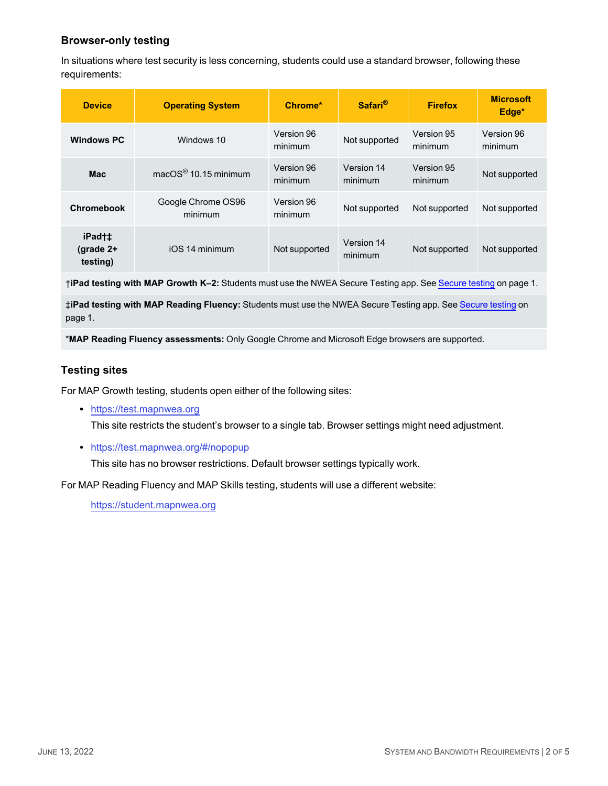## **Browser-only testing**

In situations where test security is less concerning, students could use a standard browser, following these requirements:

| <b>Device</b>                     | <b>Operating System</b>            | Chrome*               | Safari <sup>®</sup>   | <b>Firefox</b>        | <b>Microsoft</b><br>Edge* |
|-----------------------------------|------------------------------------|-----------------------|-----------------------|-----------------------|---------------------------|
| <b>Windows PC</b>                 | Windows 10                         | Version 96<br>minimum | Not supported         | Version 95<br>minimum | Version 96<br>minimum     |
| <b>Mac</b>                        | macOS $^{\circledR}$ 10.15 minimum | Version 96<br>minimum | Version 14<br>minimum | Version 95<br>minimum | Not supported             |
| <b>Chromebook</b>                 | Google Chrome OS96<br>minimum      | Version 96<br>minimum | Not supported         | Not supported         | Not supported             |
| iPad†‡<br>(grade $2+$<br>testing) | iOS 14 minimum                     | Not supported         | Version 14<br>minimum | Not supported         | Not supported             |

†**iPad testing with MAP Growth K–2:** Students must use the NWEA Secure Testing app. See [Secure](#page-0-0) testing on page 1.

‡**iPad testing with MAP Reading Fluency:** Students must use the NWEA Secure Testing app. See [Secure](#page-0-0) testing on [page](#page-0-0) 1.

\***MAP Reading Fluency assessments:** Only Google Chrome and Microsoft Edge browsers are supported.

### **Testing sites**

For MAP Growth testing, students open either of the following sites:

• [https://test.mapnwea.org](https://test.mapnwea.org/)

This site restricts the student's browser to a single tab. Browser settings might need adjustment.

• <https://test.mapnwea.org/#/nopopup>

This site has no browser restrictions. Default browser settings typically work.

For MAP Reading Fluency and MAP Skills testing, students will use a different website:

[https://student.mapnwea.org](https://student.mapnwea.org/)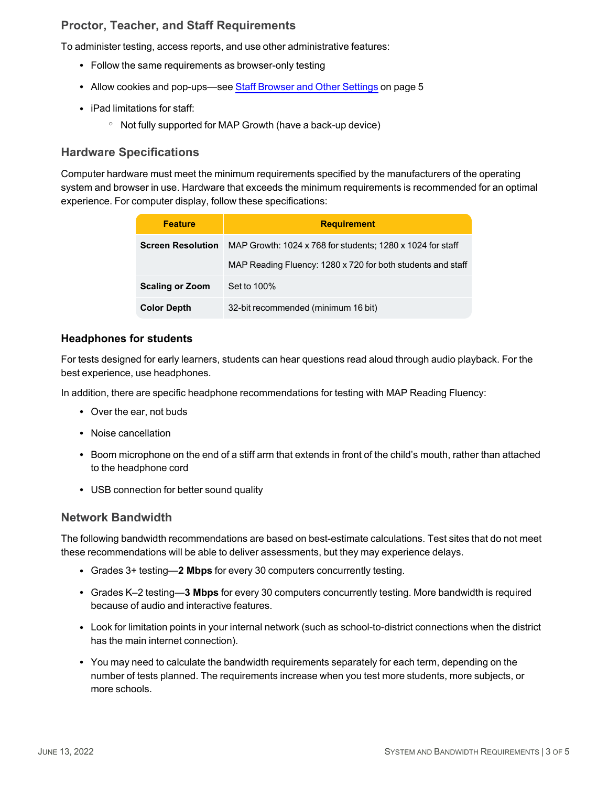## <span id="page-2-0"></span>**Proctor, Teacher, and Staff Requirements**

To administer testing, access reports, and use other administrative features:

- Follow the same requirements as browser-only testing
- Allow cookies and pop-ups-see Staff [Browser](#page-4-0) and Other Settings on page 5
- iPad limitations for staff:
	- Not fully supported for MAP Growth (have a back-up device)

## **Hardware Specifications**

Computer hardware must meet the minimum requirements specified by the manufacturers of the operating system and browser in use. Hardware that exceeds the minimum requirements is recommended for an optimal experience. For computer display, follow these specifications:

| <b>Feature</b>           | <b>Requirement</b>                                          |
|--------------------------|-------------------------------------------------------------|
| <b>Screen Resolution</b> | MAP Growth: 1024 x 768 for students; 1280 x 1024 for staff  |
|                          | MAP Reading Fluency: 1280 x 720 for both students and staff |
| <b>Scaling or Zoom</b>   | Set to 100%                                                 |
| <b>Color Depth</b>       | 32-bit recommended (minimum 16 bit)                         |

### **Headphones for students**

For tests designed for early learners, students can hear questions read aloud through audio playback. For the best experience, use headphones.

In addition, there are specific headphone recommendations for testing with MAP Reading Fluency:

- Over the ear, not buds
- Noise cancellation
- Boom microphone on the end of a stiff arm that extends in front of the child's mouth, rather than attached to the headphone cord
- USB connection for better sound quality

#### **Network Bandwidth**

The following bandwidth recommendations are based on best-estimate calculations. Test sites that do not meet these recommendations will be able to deliver assessments, but they may experience delays.

- Grades 3+ testing—2 **Mbps** for every 30 computers concurrently testing.
- Grades K-2 testing-3 Mbps for every 30 computers concurrently testing. More bandwidth is required because of audio and interactive features.
- Look for limitation points in your internal network (such as school-to-district connections when the district has the main internet connection).
- You may need to calculate the bandwidth requirements separately for each term, depending on the number of tests planned. The requirements increase when you test more students, more subjects, or more schools.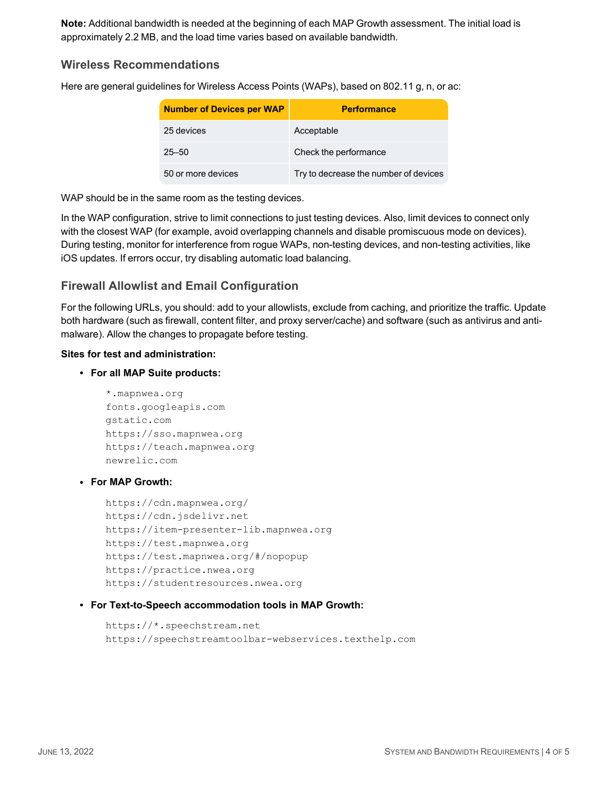**Note:** Additional bandwidth is needed at the beginning of each MAP Growth assessment. The initial load is approximately 2.2 MB, and the load time varies based on available bandwidth.

### **Wireless Recommendations**

Here are general guidelines for Wireless Access Points (WAPs), based on 802.11 g, n, or ac:

| <b>Number of Devices per WAP</b> | <b>Performance</b>                    |
|----------------------------------|---------------------------------------|
| 25 devices                       | Acceptable                            |
| $25 - 50$                        | Check the performance                 |
| 50 or more devices               | Try to decrease the number of devices |

WAP should be in the same room as the testing devices.

In the WAP configuration, strive to limit connections to just testing devices. Also, limit devices to connect only with the closest WAP (for example, avoid overlapping channels and disable promiscuous mode on devices). During testing, monitor for interference from rogue WAPs, non-testing devices, and non-testing activities, like iOS updates. If errors occur, try disabling automatic load balancing.

## **Firewall Allowlist and Email Configuration**

For the following URLs, you should: add to your allowlists, exclude from caching, and prioritize the traffic. Update both hardware (such as firewall, content filter, and proxy server/cache) and software (such as antivirus and antimalware). Allow the changes to propagate before testing.

#### **Sites for test and administration:**

#### <sup>l</sup> **For all MAP Suite products:**

```
*.mapnwea.org
fonts.googleapis.com
gstatic.com
https://sso.mapnwea.org
https://teach.mapnwea.org
newrelic.com
```
#### <sup>l</sup> **For MAP Growth:**

```
https://cdn.mapnwea.org/
https://cdn.jsdelivr.net
https://item-presenter-lib.mapnwea.org
https://test.mapnwea.org
https://test.mapnwea.org/#/nopopup
https://practice.nwea.org
https://studentresources.nwea.org
```
#### <sup>l</sup> **For Text-to-Speech accommodation tools in MAP Growth:**

```
https://*.speechstream.net
https://speechstreamtoolbar-webservices.texthelp.com
```